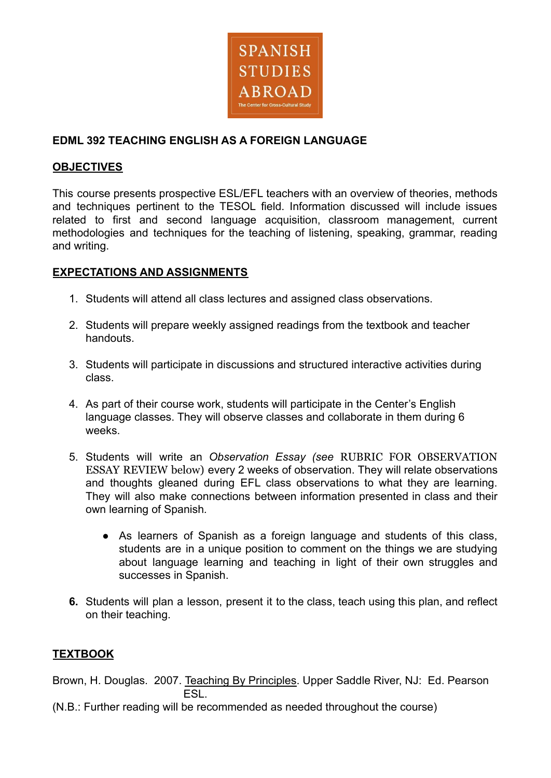

# **EDML 392 TEACHING ENGLISH AS A FOREIGN LANGUAGE**

## **OBJECTIVES**

This course presents prospective ESL/EFL teachers with an overview of theories, methods and techniques pertinent to the TESOL field. Information discussed will include issues related to first and second language acquisition, classroom management, current methodologies and techniques for the teaching of listening, speaking, grammar, reading and writing.

# **EXPECTATIONS AND ASSIGNMENTS**

- 1. Students will attend all class lectures and assigned class observations.
- 2. Students will prepare weekly assigned readings from the textbook and teacher handouts.
- 3. Students will participate in discussions and structured interactive activities during class.
- 4. As part of their course work, students will participate in the Center's English language classes. They will observe classes and collaborate in them during 6 weeks.
- 5. Students will write an *Observation Essay (see* RUBRIC FOR OBSERVATION ESSAY REVIEW below) every 2 weeks of observation. They will relate observations and thoughts gleaned during EFL class observations to what they are learning. They will also make connections between information presented in class and their own learning of Spanish*.*
	- **●** As learners of Spanish as a foreign language and students of this class, students are in a unique position to comment on the things we are studying about language learning and teaching in light of their own struggles and successes in Spanish.
- **6.** Students will plan a lesson, present it to the class, teach using this plan, and reflect on their teaching.

# **TEXTBOOK**

Brown, H. Douglas. 2007. Teaching By Principles. Upper Saddle River, NJ: Ed. Pearson **FSL.** 

(N.B.: Further reading will be recommended as needed throughout the course)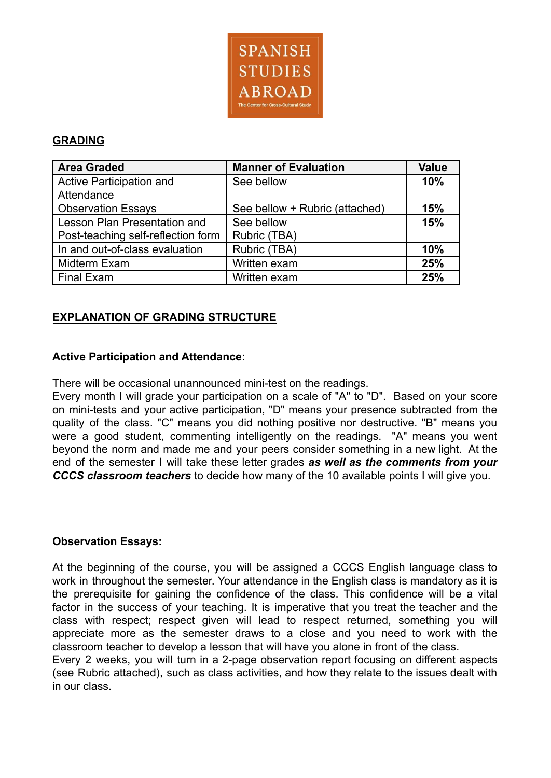

## **GRADING**

| <b>Area Graded</b>                 | <b>Manner of Evaluation</b>    | <b>Value</b> |
|------------------------------------|--------------------------------|--------------|
| Active Participation and           | See bellow                     |              |
| Attendance                         |                                |              |
| <b>Observation Essays</b>          | See bellow + Rubric (attached) | 15%          |
| Lesson Plan Presentation and       | See bellow                     | 15%          |
| Post-teaching self-reflection form | Rubric (TBA)                   |              |
| In and out-of-class evaluation     | Rubric (TBA)                   | 10%          |
| Midterm Exam                       | Written exam                   | 25%          |
| <b>Final Exam</b>                  | Written exam                   | 25%          |

# **EXPLANATION OF GRADING STRUCTURE**

## **Active Participation and Attendance**:

There will be occasional unannounced mini-test on the readings.

Every month I will grade your participation on a scale of "A" to "D". Based on your score on mini-tests and your active participation, "D" means your presence subtracted from the quality of the class. "C" means you did nothing positive nor destructive. "B" means you were a good student, commenting intelligently on the readings. "A" means you went beyond the norm and made me and your peers consider something in a new light. At the end of the semester I will take these letter grades *as well as the comments from your CCCS classroom teachers* to decide how many of the 10 available points I will give you.

#### **Observation Essays:**

At the beginning of the course, you will be assigned a CCCS English language class to work in throughout the semester. Your attendance in the English class is mandatory as it is the prerequisite for gaining the confidence of the class. This confidence will be a vital factor in the success of your teaching. It is imperative that you treat the teacher and the class with respect; respect given will lead to respect returned, something you will appreciate more as the semester draws to a close and you need to work with the classroom teacher to develop a lesson that will have you alone in front of the class.

Every 2 weeks, you will turn in a 2-page observation report focusing on different aspects (see Rubric attached), such as class activities, and how they relate to the issues dealt with in our class.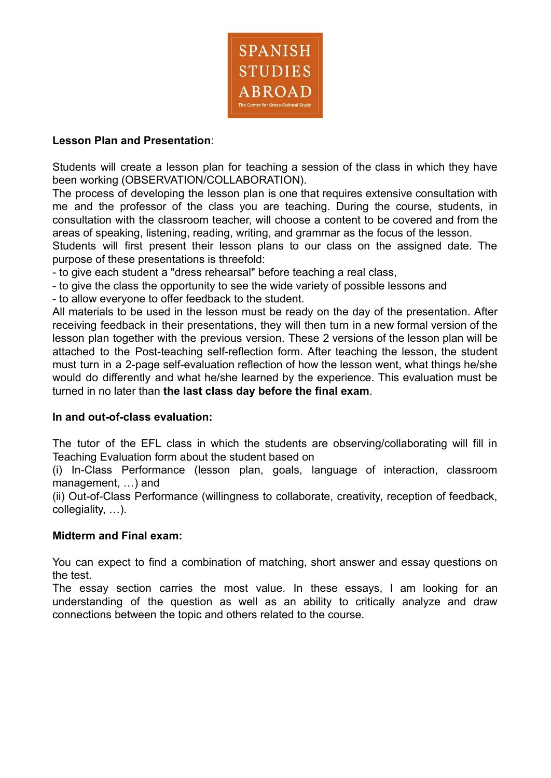

## **Lesson Plan and Presentation**:

Students will create a lesson plan for teaching a session of the class in which they have been working (OBSERVATION/COLLABORATION).

The process of developing the lesson plan is one that requires extensive consultation with me and the professor of the class you are teaching. During the course, students, in consultation with the classroom teacher, will choose a content to be covered and from the areas of speaking, listening, reading, writing, and grammar as the focus of the lesson.

Students will first present their lesson plans to our class on the assigned date. The purpose of these presentations is threefold:

- to give each student a "dress rehearsal" before teaching a real class,

- to give the class the opportunity to see the wide variety of possible lessons and

- to allow everyone to offer feedback to the student.

All materials to be used in the lesson must be ready on the day of the presentation. After receiving feedback in their presentations, they will then turn in a new formal version of the lesson plan together with the previous version. These 2 versions of the lesson plan will be attached to the Post-teaching self-reflection form. After teaching the lesson, the student must turn in a 2-page self-evaluation reflection of how the lesson went, what things he/she would do differently and what he/she learned by the experience. This evaluation must be turned in no later than **the last class day before the final exam**.

#### **In and out-of-class evaluation:**

The tutor of the EFL class in which the students are observing/collaborating will fill in Teaching Evaluation form about the student based on

(i) In-Class Performance (lesson plan, goals, language of interaction, classroom management, …) and

(ii) Out-of-Class Performance (willingness to collaborate, creativity, reception of feedback, collegiality, …).

#### **Midterm and Final exam:**

You can expect to find a combination of matching, short answer and essay questions on the test.

The essay section carries the most value. In these essays, I am looking for an understanding of the question as well as an ability to critically analyze and draw connections between the topic and others related to the course.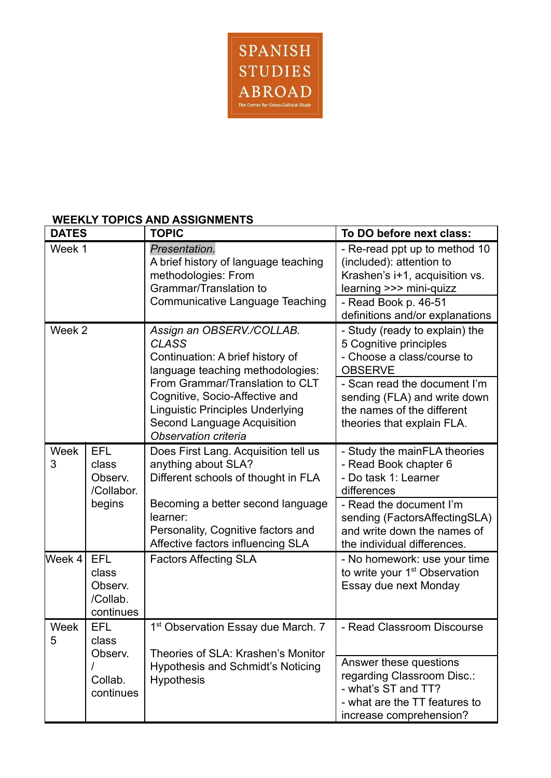

# **WEEKLY TOPICS AND ASSIGNMENTS**

| <b>DATES</b>     |                                                         | <b>TOPIC</b>                                                                                                                                                               | To DO before next class:                                                                                                                |  |  |  |
|------------------|---------------------------------------------------------|----------------------------------------------------------------------------------------------------------------------------------------------------------------------------|-----------------------------------------------------------------------------------------------------------------------------------------|--|--|--|
| Week 1           |                                                         | Presentation.<br>A brief history of language teaching<br>methodologies: From<br>Grammar/Translation to                                                                     | - Re-read ppt up to method 10<br>(included): attention to<br>Krashen's i+1, acquisition vs.<br>learning >>> mini-quizz                  |  |  |  |
|                  |                                                         | Communicative Language Teaching                                                                                                                                            | - Read Book p. 46-51<br>definitions and/or explanations                                                                                 |  |  |  |
| Week 2           |                                                         | Assign an OBSERV./COLLAB.<br><b>CLASS</b><br>Continuation: A brief history of<br>language teaching methodologies:                                                          | - Study (ready to explain) the<br>5 Cognitive principles<br>- Choose a class/course to<br><b>OBSERVE</b>                                |  |  |  |
|                  |                                                         | From Grammar/Translation to CLT<br>Cognitive, Socio-Affective and<br><b>Linguistic Principles Underlying</b><br><b>Second Language Acquisition</b><br>Observation criteria | - Scan read the document I'm<br>sending (FLA) and write down<br>the names of the different<br>theories that explain FLA.                |  |  |  |
| Week<br>3        | <b>EFL</b><br>class<br>Observ.<br>/Collabor.            | Does First Lang. Acquisition tell us<br>anything about SLA?<br>Different schools of thought in FLA                                                                         | - Study the mainFLA theories<br>- Read Book chapter 6<br>- Do task 1: Learner<br>differences                                            |  |  |  |
|                  | begins                                                  | Becoming a better second language<br>learner:<br>Personality, Cognitive factors and<br>Affective factors influencing SLA                                                   | - Read the document I'm<br>sending (FactorsAffectingSLA)<br>and write down the names of<br>the individual differences.                  |  |  |  |
| Week 4           | <b>EFL</b><br>class<br>Observ.<br>/Collab.<br>continues | <b>Factors Affecting SLA</b>                                                                                                                                               | - No homework: use your time<br>to write your 1 <sup>st</sup> Observation<br>Essay due next Monday                                      |  |  |  |
| <b>Week</b><br>5 | <b>EFL</b><br>class<br>Observ.                          | 1 <sup>st</sup> Observation Essay due March. 7<br>Theories of SLA: Krashen's Monitor                                                                                       | - Read Classroom Discourse                                                                                                              |  |  |  |
|                  | Collab.<br>continues                                    | <b>Hypothesis and Schmidt's Noticing</b><br><b>Hypothesis</b>                                                                                                              | Answer these questions<br>regarding Classroom Disc.:<br>- what's ST and TT?<br>- what are the TT features to<br>increase comprehension? |  |  |  |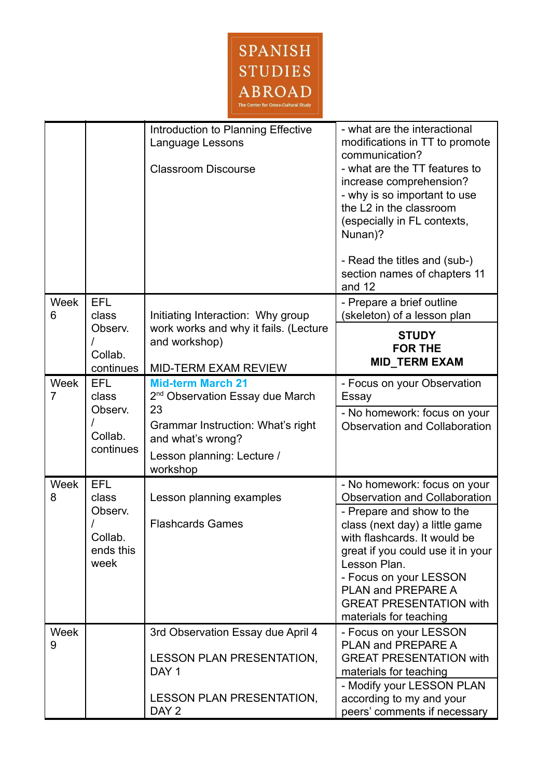

|                        |                                                                | Introduction to Planning Effective<br>Language Lessons<br><b>Classroom Discourse</b>                                                                                              | - what are the interactional<br>modifications in TT to promote<br>communication?<br>- what are the TT features to<br>increase comprehension?<br>- why is so important to use<br>the L2 in the classroom<br>(especially in FL contexts,<br>Nunan)?<br>- Read the titles and (sub-)<br>section names of chapters 11<br>and 12          |
|------------------------|----------------------------------------------------------------|-----------------------------------------------------------------------------------------------------------------------------------------------------------------------------------|--------------------------------------------------------------------------------------------------------------------------------------------------------------------------------------------------------------------------------------------------------------------------------------------------------------------------------------|
| Week<br>6              | <b>EFL</b><br>class<br>Observ.                                 | Initiating Interaction: Why group<br>work works and why it fails. (Lecture                                                                                                        | - Prepare a brief outline<br>(skeleton) of a lesson plan                                                                                                                                                                                                                                                                             |
|                        | Collab.<br>continues                                           | and workshop)<br><b>MID-TERM EXAM REVIEW</b>                                                                                                                                      | <b>STUDY</b><br><b>FOR THE</b><br><b>MID TERM EXAM</b>                                                                                                                                                                                                                                                                               |
| Week<br>$\overline{7}$ | <b>EFL</b><br>class<br>Observ.<br>Collab.<br>continues         | <b>Mid-term March 21</b><br>2 <sup>nd</sup> Observation Essay due March<br>23<br>Grammar Instruction: What's right<br>and what's wrong?<br>Lesson planning: Lecture /<br>workshop | - Focus on your Observation<br>Essay<br>- No homework: focus on your<br><b>Observation and Collaboration</b>                                                                                                                                                                                                                         |
| Week<br>8              | <b>EFL</b><br>class<br>Observ.<br>Collab.<br>ends this<br>week | Lesson planning examples<br><b>Flashcards Games</b>                                                                                                                               | - No homework: focus on your<br><b>Observation and Collaboration</b><br>- Prepare and show to the<br>class (next day) a little game<br>with flashcards. It would be<br>great if you could use it in your<br>Lesson Plan.<br>- Focus on your LESSON<br>PLAN and PREPARE A<br><b>GREAT PRESENTATION with</b><br>materials for teaching |
| Week<br>9              |                                                                | 3rd Observation Essay due April 4<br><b>LESSON PLAN PRESENTATION,</b><br>DAY <sub>1</sub>                                                                                         | - Focus on your LESSON<br>PLAN and PREPARE A<br><b>GREAT PRESENTATION with</b><br>materials for teaching<br>- Modify your LESSON PLAN                                                                                                                                                                                                |
|                        |                                                                | <b>LESSON PLAN PRESENTATION,</b><br>DAY <sub>2</sub>                                                                                                                              | according to my and your<br>peers' comments if necessary                                                                                                                                                                                                                                                                             |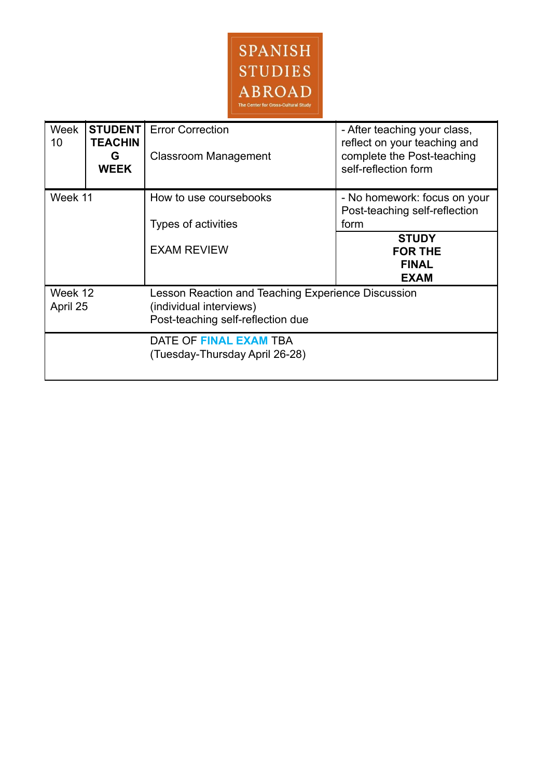

| Week<br>10          | <b>STUDENT</b><br><b>TEACHIN</b><br>G<br><b>WEEK</b> | <b>Error Correction</b><br><b>Classroom Management</b>                                                             | - After teaching your class,<br>reflect on your teaching and<br>complete the Post-teaching<br>self-reflection form |
|---------------------|------------------------------------------------------|--------------------------------------------------------------------------------------------------------------------|--------------------------------------------------------------------------------------------------------------------|
| Week 11             |                                                      | How to use coursebooks<br>Types of activities                                                                      | - No homework: focus on your<br>Post-teaching self-reflection<br>form                                              |
|                     |                                                      | <b>EXAM REVIEW</b>                                                                                                 | <b>STUDY</b><br><b>FOR THE</b><br><b>FINAL</b><br><b>EXAM</b>                                                      |
| Week 12<br>April 25 |                                                      | Lesson Reaction and Teaching Experience Discussion<br>(individual interviews)<br>Post-teaching self-reflection due |                                                                                                                    |
|                     |                                                      | DATE OF FINAL EXAM TBA<br>(Tuesday-Thursday April 26-28)                                                           |                                                                                                                    |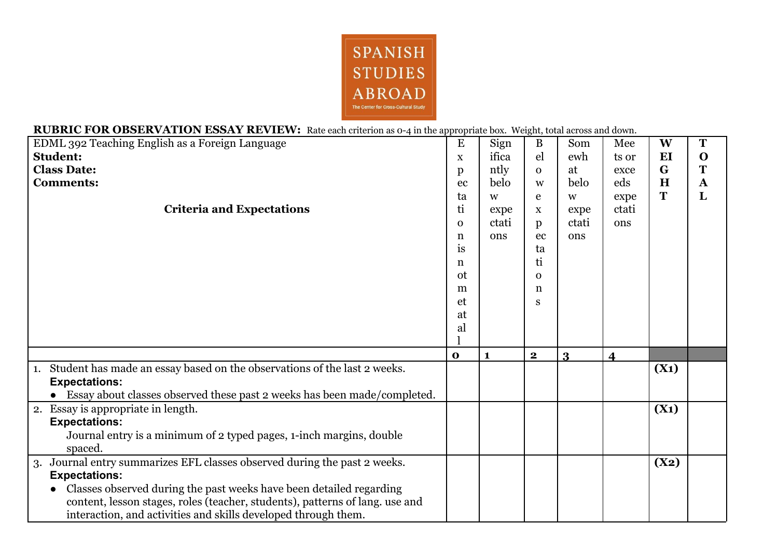

## **RUBRIC FOR OBSERVATION ESSAY REVIEW:** Rate each criterion as 0-4 in the appropriate box. Weight, total across and down.

| <b>DIE OUR ODDLIK FILLIOI LEDDILL TELF LEHT F</b> Rate each chieffon as $\sigma$ 4 in the appropriate box. Treight, total across and |              |              |                         |              |                         |         |              |
|--------------------------------------------------------------------------------------------------------------------------------------|--------------|--------------|-------------------------|--------------|-------------------------|---------|--------------|
| EDML 392 Teaching English as a Foreign Language                                                                                      | E            | Sign         | B                       | Som          | Mee                     | W       | T            |
| <b>Student:</b>                                                                                                                      | $\mathbf X$  | ifica        | el                      | ewh          | ts or                   | EI      | $\mathbf O$  |
| <b>Class Date:</b>                                                                                                                   | p            | ntly         | $\Omega$                | at           | exce                    | G       | Т            |
| <b>Comments:</b>                                                                                                                     | ec           | belo         | W                       | belo         | eds                     | H       | $\mathbf{A}$ |
|                                                                                                                                      | ta           | W            | e                       | W            | expe                    | T       | L            |
| <b>Criteria and Expectations</b>                                                                                                     | ti           | expe         | $\mathbf X$             | expe         | ctati                   |         |              |
|                                                                                                                                      | $\mathbf{O}$ | ctati        | $\mathbf{p}$            | ctati        | ons                     |         |              |
|                                                                                                                                      | n            | ons          | ec                      | ons          |                         |         |              |
|                                                                                                                                      | is           |              | ta                      |              |                         |         |              |
|                                                                                                                                      | n            |              | ti                      |              |                         |         |              |
|                                                                                                                                      | ot           |              | $\Omega$                |              |                         |         |              |
|                                                                                                                                      | m            |              | n                       |              |                         |         |              |
|                                                                                                                                      | et           |              | S                       |              |                         |         |              |
|                                                                                                                                      | at           |              |                         |              |                         |         |              |
|                                                                                                                                      | al           |              |                         |              |                         |         |              |
|                                                                                                                                      |              |              |                         |              |                         |         |              |
|                                                                                                                                      | $\mathbf 0$  | $\mathbf{1}$ | $\overline{\mathbf{2}}$ | $\mathbf{R}$ | $\overline{\mathbf{4}}$ |         |              |
| 1. Student has made an essay based on the observations of the last 2 weeks.                                                          |              |              |                         |              |                         | $(X_1)$ |              |
| <b>Expectations:</b>                                                                                                                 |              |              |                         |              |                         |         |              |
| Essay about classes observed these past 2 weeks has been made/completed.                                                             |              |              |                         |              |                         |         |              |
| 2. Essay is appropriate in length.                                                                                                   |              |              |                         |              |                         | $(X_1)$ |              |
| <b>Expectations:</b>                                                                                                                 |              |              |                         |              |                         |         |              |
| Journal entry is a minimum of 2 typed pages, 1-inch margins, double                                                                  |              |              |                         |              |                         |         |              |
| spaced.                                                                                                                              |              |              |                         |              |                         |         |              |
| 3. Journal entry summarizes EFL classes observed during the past 2 weeks.                                                            |              |              |                         |              |                         | (X2)    |              |
| <b>Expectations:</b>                                                                                                                 |              |              |                         |              |                         |         |              |
| Classes observed during the past weeks have been detailed regarding                                                                  |              |              |                         |              |                         |         |              |
| content, lesson stages, roles (teacher, students), patterns of lang. use and                                                         |              |              |                         |              |                         |         |              |
| interaction, and activities and skills developed through them.                                                                       |              |              |                         |              |                         |         |              |